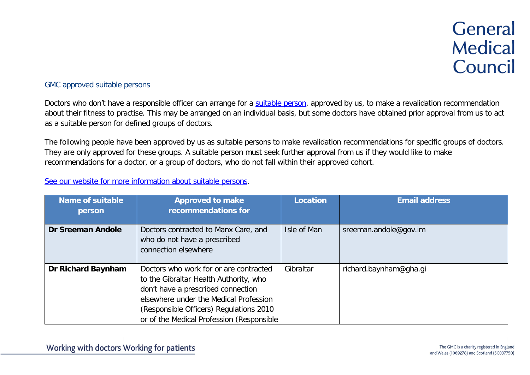## GMC approved suitable persons

Doctors who don't have a responsible officer can arrange for a [suitable person,](https://www.gmc-uk.org/registration-and-licensing/managing-your-registration/revalidation/connecting-to-a-suitable-person) approved by us, to make a revalidation recommendation about their fitness to practise. This may be arranged on an individual basis, but some doctors have obtained prior approval from us to act as a suitable person for defined groups of doctors.

The following people have been approved by us as suitable persons to make revalidation recommendations for specific groups of doctors. They are only approved for these groups. A suitable person must seek further approval from us if they would like to make recommendations for a doctor, or a group of doctors, who do not fall within their approved cohort.

## [See our website for more information about suitable persons.](https://www.gmc-uk.org/registration-and-licensing/managing-your-registration/revalidation/connecting-to-a-suitable-person)

| <b>Name of suitable</b><br>person | <b>Approved to make</b><br>recommendations for                                                                                                                                                                                                           | Location    | <b>Email address</b>   |
|-----------------------------------|----------------------------------------------------------------------------------------------------------------------------------------------------------------------------------------------------------------------------------------------------------|-------------|------------------------|
| <b>Dr Sreeman Andole</b>          | Doctors contracted to Manx Care, and<br>who do not have a prescribed<br>connection elsewhere                                                                                                                                                             | Isle of Man | sreeman.andole@gov.im  |
| Dr Richard Baynham                | Doctors who work for or are contracted<br>to the Gibraltar Health Authority, who<br>don't have a prescribed connection<br>elsewhere under the Medical Profession<br>(Responsible Officers) Regulations 2010<br>or of the Medical Profession (Responsible | Gibraltar   | richard.baynham@gha.gi |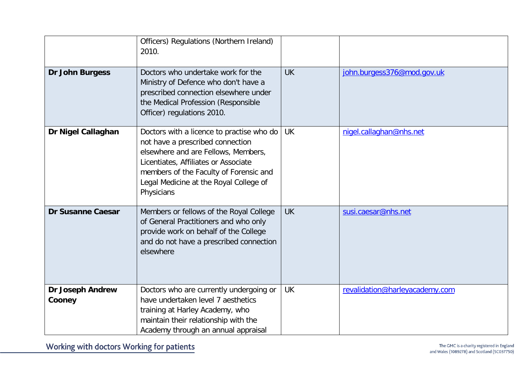|                                   | Officers) Regulations (Northern Ireland)<br>2010.                                                                                                                                                                                                              |           |                                |
|-----------------------------------|----------------------------------------------------------------------------------------------------------------------------------------------------------------------------------------------------------------------------------------------------------------|-----------|--------------------------------|
| <b>Dr John Burgess</b>            | Doctors who undertake work for the<br>Ministry of Defence who don't have a<br>prescribed connection elsewhere under<br>the Medical Profession (Responsible<br>Officer) regulations 2010.                                                                       | <b>UK</b> | john.burgess376@mod.gov.uk     |
| Dr Nigel Callaghan                | Doctors with a licence to practise who do<br>not have a prescribed connection<br>elsewhere and are Fellows, Members,<br>Licentiates, Affiliates or Associate<br>members of the Faculty of Forensic and<br>Legal Medicine at the Royal College of<br>Physicians | <b>UK</b> | nigel.callaghan@nhs.net        |
| <b>Dr Susanne Caesar</b>          | Members or fellows of the Royal College<br>of General Practitioners and who only<br>provide work on behalf of the College<br>and do not have a prescribed connection<br>elsewhere                                                                              | <b>UK</b> | susi.caesar@nhs.net            |
| <b>Dr Joseph Andrew</b><br>Cooney | Doctors who are currently undergoing or<br>have undertaken level 7 aesthetics<br>training at Harley Academy, who<br>maintain their relationship with the<br>Academy through an annual appraisal                                                                | <b>UK</b> | revalidation@harleyacademy.com |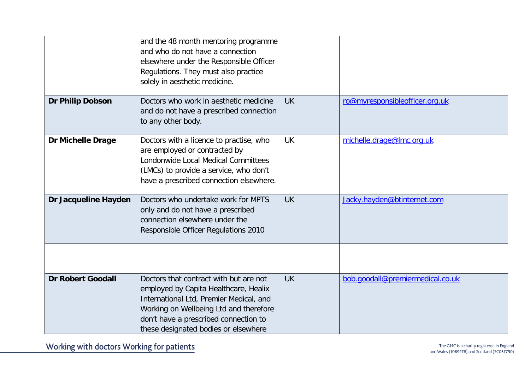|                          | and the 48 month mentoring programme<br>and who do not have a connection<br>elsewhere under the Responsible Officer<br>Regulations. They must also practice<br>solely in aesthetic medicine.                                                          |           |                                  |
|--------------------------|-------------------------------------------------------------------------------------------------------------------------------------------------------------------------------------------------------------------------------------------------------|-----------|----------------------------------|
| Dr Philip Dobson         | Doctors who work in aesthetic medicine<br>and do not have a prescribed connection<br>to any other body.                                                                                                                                               | <b>UK</b> | ro@myresponsibleofficer.org.uk   |
| <b>Dr Michelle Drage</b> | Doctors with a licence to practise, who<br>are employed or contracted by<br>Londonwide Local Medical Committees<br>(LMCs) to provide a service, who don't<br>have a prescribed connection elsewhere.                                                  | <b>UK</b> | michelle.drage@lmc.org.uk        |
| Dr Jacqueline Hayden     | Doctors who undertake work for MPTS<br>only and do not have a prescribed<br>connection elsewhere under the<br>Responsible Officer Regulations 2010                                                                                                    | <b>UK</b> | Jacky.hayden@btinternet.com      |
|                          |                                                                                                                                                                                                                                                       |           |                                  |
| <b>Dr Robert Goodall</b> | Doctors that contract with but are not<br>employed by Capita Healthcare, Healix<br>International Ltd, Premier Medical, and<br>Working on Wellbeing Ltd and therefore<br>don't have a prescribed connection to<br>these designated bodies or elsewhere | <b>UK</b> | bob.goodall@premiermedical.co.uk |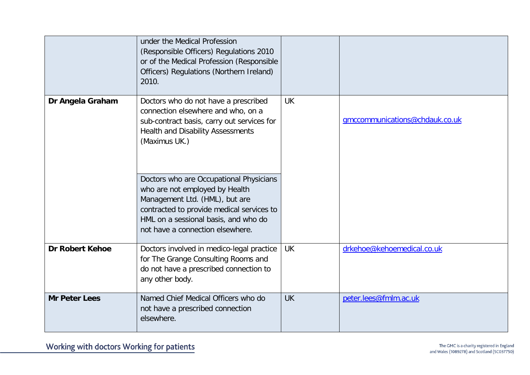|                        | under the Medical Profession<br>(Responsible Officers) Regulations 2010<br>or of the Medical Profession (Responsible<br>Officers) Regulations (Northern Ireland)<br>2010.                                                            |           |                                |
|------------------------|--------------------------------------------------------------------------------------------------------------------------------------------------------------------------------------------------------------------------------------|-----------|--------------------------------|
| Dr Angela Graham       | Doctors who do not have a prescribed<br>connection elsewhere and who, on a<br>sub-contract basis, carry out services for<br>Health and Disability Assessments<br>(Maximus UK.)                                                       | <b>UK</b> | gmccommunications@chdauk.co.uk |
|                        | Doctors who are Occupational Physicians<br>who are not employed by Health<br>Management Ltd. (HML), but are<br>contracted to provide medical services to<br>HML on a sessional basis, and who do<br>not have a connection elsewhere. |           |                                |
| <b>Dr Robert Kehoe</b> | Doctors involved in medico-legal practice<br>for The Grange Consulting Rooms and<br>do not have a prescribed connection to<br>any other body.                                                                                        | <b>UK</b> | drkehoe@kehoemedical.co.uk     |
| <b>Mr Peter Lees</b>   | Named Chief Medical Officers who do<br>not have a prescribed connection<br>elsewhere.                                                                                                                                                | <b>UK</b> | peter.lees@fmlm.ac.uk          |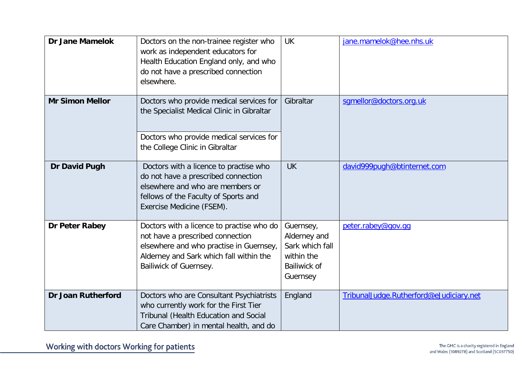| <b>Dr Jane Mamelok</b>    | Doctors on the non-trainee register who<br>work as independent educators for<br>Health Education England only, and who<br>do not have a prescribed connection<br>elsewhere.                   | <b>UK</b>                                                                                     | jane.mamelok@hee.nhs.uk                 |
|---------------------------|-----------------------------------------------------------------------------------------------------------------------------------------------------------------------------------------------|-----------------------------------------------------------------------------------------------|-----------------------------------------|
| <b>Mr Simon Mellor</b>    | Doctors who provide medical services for<br>the Specialist Medical Clinic in Gibraltar<br>Doctors who provide medical services for<br>the College Clinic in Gibraltar                         | Gibraltar                                                                                     | sqmellor@doctors.org.uk                 |
| <b>Dr David Pugh</b>      | Doctors with a licence to practise who<br>do not have a prescribed connection<br>elsewhere and who are members or<br>fellows of the Faculty of Sports and<br>Exercise Medicine (FSEM).        | <b>UK</b>                                                                                     | david999pugh@btinternet.com             |
| Dr Peter Rabey            | Doctors with a licence to practise who do<br>not have a prescribed connection<br>elsewhere and who practise in Guernsey,<br>Alderney and Sark which fall within the<br>Bailiwick of Guernsey. | Guernsey,<br>Alderney and<br>Sark which fall<br>within the<br><b>Bailiwick of</b><br>Guernsey | peter.rabey@gov.gq                      |
| <b>Dr Joan Rutherford</b> | Doctors who are Consultant Psychiatrists<br>who currently work for the First Tier<br>Tribunal (Health Education and Social<br>Care Chamber) in mental health, and do                          | England                                                                                       | TribunalJudge.Rutherford@eJudiciary.net |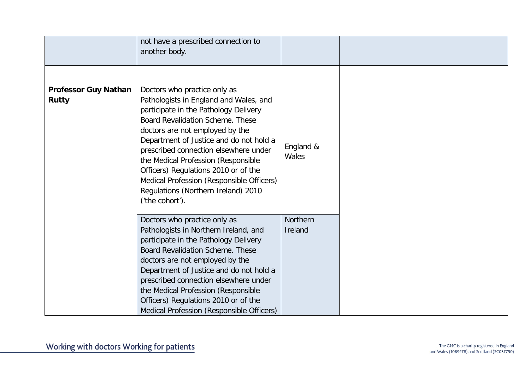|                                             | not have a prescribed connection to<br>another body.                                                                                                                                                                                                                                                                                                                                                                                                             |                     |  |
|---------------------------------------------|------------------------------------------------------------------------------------------------------------------------------------------------------------------------------------------------------------------------------------------------------------------------------------------------------------------------------------------------------------------------------------------------------------------------------------------------------------------|---------------------|--|
| <b>Professor Guy Nathan</b><br><b>Rutty</b> | Doctors who practice only as<br>Pathologists in England and Wales, and<br>participate in the Pathology Delivery<br>Board Revalidation Scheme. These<br>doctors are not employed by the<br>Department of Justice and do not hold a<br>prescribed connection elsewhere under<br>the Medical Profession (Responsible<br>Officers) Regulations 2010 or of the<br>Medical Profession (Responsible Officers)<br>Regulations (Northern Ireland) 2010<br>('the cohort'). | England &<br>Wales  |  |
|                                             | Doctors who practice only as<br>Pathologists in Northern Ireland, and<br>participate in the Pathology Delivery<br><b>Board Revalidation Scheme. These</b><br>doctors are not employed by the<br>Department of Justice and do not hold a<br>prescribed connection elsewhere under<br>the Medical Profession (Responsible<br>Officers) Regulations 2010 or of the<br>Medical Profession (Responsible Officers)                                                     | Northern<br>Ireland |  |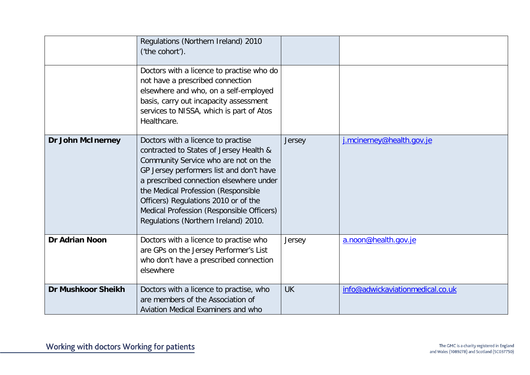|                           | Regulations (Northern Ireland) 2010<br>('the cohort').                                                                                                                                                                                                                                                                                                                           |           |                                  |
|---------------------------|----------------------------------------------------------------------------------------------------------------------------------------------------------------------------------------------------------------------------------------------------------------------------------------------------------------------------------------------------------------------------------|-----------|----------------------------------|
|                           | Doctors with a licence to practise who do<br>not have a prescribed connection<br>elsewhere and who, on a self-employed<br>basis, carry out incapacity assessment<br>services to NISSA, which is part of Atos<br>Healthcare.                                                                                                                                                      |           |                                  |
| <b>Dr John McInerney</b>  | Doctors with a licence to practise<br>contracted to States of Jersey Health &<br>Community Service who are not on the<br>GP Jersey performers list and don't have<br>a prescribed connection elsewhere under<br>the Medical Profession (Responsible<br>Officers) Regulations 2010 or of the<br>Medical Profession (Responsible Officers)<br>Regulations (Northern Ireland) 2010. | Jersey    | j.mcinerney@health.gov.je        |
| <b>Dr Adrian Noon</b>     | Doctors with a licence to practise who<br>are GPs on the Jersey Performer's List<br>who don't have a prescribed connection<br>elsewhere                                                                                                                                                                                                                                          | Jersey    | a.noon@health.gov.je             |
| <b>Dr Mushkoor Sheikh</b> | Doctors with a licence to practise, who<br>are members of the Association of<br>Aviation Medical Examiners and who                                                                                                                                                                                                                                                               | <b>UK</b> | info@adwickaviationmedical.co.uk |